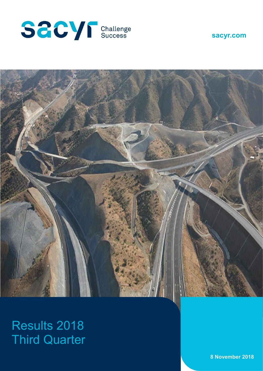





# Results 2018 Third Quarter

**8 November 2018**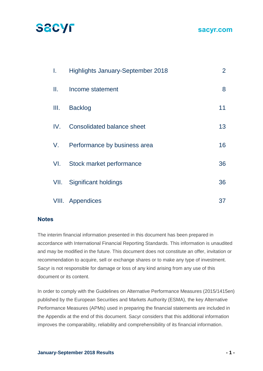### **sacyr.com**

| I.   | <b>Highlights January-September 2018</b> | $\overline{2}$ |
|------|------------------------------------------|----------------|
| Ш.   | Income statement                         | 8              |
| III. | <b>Backlog</b>                           | 11             |
| IV.  | <b>Consolidated balance sheet</b>        | 13             |
| V.   | Performance by business area             | 16             |
| VI.  | Stock market performance                 | 36             |
| VII. | <b>Significant holdings</b>              | 36             |
|      | VIII. Appendices                         | 37             |

#### **Notes**

The interim financial information presented in this document has been prepared in accordance with International Financial Reporting Standards. This information is unaudited and may be modified in the future. This document does not constitute an offer, invitation or recommendation to acquire, sell or exchange shares or to make any type of investment. Sacyr is not responsible for damage or loss of any kind arising from any use of this document or its content.

In order to comply with the Guidelines on Alternative Performance Measures (2015/1415en) published by the European Securities and Markets Authority (ESMA), the key Alternative Performance Measures (APMs) used in preparing the financial statements are included in the Appendix at the end of this document. Sacyr considers that this additional information improves the comparability, reliability and comprehensibility of its financial information.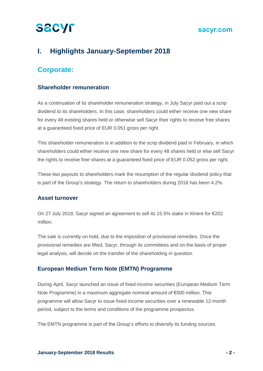#### **sacyr.com**

## **I. Highlights January-September 2018**

## **Corporate:**

#### **Shareholder remuneration**

As a continuation of its shareholder remuneration strategy, in July Sacyr paid out a scrip dividend to its shareholders. In this case, shareholders could either receive one new share for every 48 existing shares held or otherwise sell Sacyr their rights to receive free shares at a guaranteed fixed price of EUR 0.051 gross per right.

This shareholder remuneration is in addition to the scrip dividend paid in February, in which shareholders could either receive one new share for every 48 shares held or else sell Sacyr the rights to receive free shares at a guaranteed fixed price of EUR 0.052 gross per right.

These two payouts to shareholders mark the resumption of the regular dividend policy that is part of the Group's strategy. The return to shareholders during 2018 has been 4.2%.

#### **Asset turnover**

On 27 July 2018, Sacyr signed an agreement to sell its 15.5% stake in Itínere for €202 million.

The sale is currently on hold, due to the imposition of provisional remedies. Once the provisional remedies are lifted, Sacyr, through its committees and on the basis of proper legal analysis, will decide on the transfer of the shareholding in question.

#### **European Medium Term Note (EMTN) Programme**

During April, Sacyr launched an issue of fixed-income securities (European Medium Term Note Programme) in a maximum aggregate nominal amount of €500 million. This programme will allow Sacyr to issue fixed-income securities over a renewable 12-month period, subject to the terms and conditions of the programme prospectus.

The EMTN programme is part of the Group's efforts to diversify its funding sources.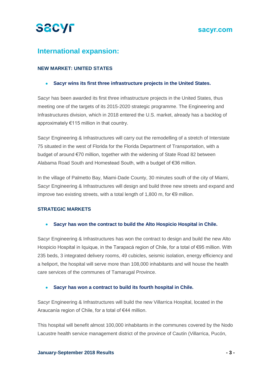

## **International expansion:**

#### **NEW MARKET: UNITED STATES**

• **Sacyr wins its first three infrastructure projects in the United States.**

Sacyr has been awarded its first three infrastructure projects in the United States, thus meeting one of the targets of its 2015-2020 strategic programme. The Engineering and Infrastructures division, which in 2018 entered the U.S. market, already has a backlog of approximately €115 million in that country.

Sacyr Engineering & Infrastructures will carry out the remodelling of a stretch of Interstate 75 situated in the west of Florida for the Florida Department of Transportation, with a budget of around €70 million, together with the widening of State Road 82 between Alabama Road South and Homestead South, with a budget of €36 million.

In the village of Palmetto Bay, Miami-Dade County, 30 minutes south of the city of Miami, Sacyr Engineering & Infrastructures will design and build three new streets and expand and improve two existing streets, with a total length of 1,800 m, for €9 million.

#### **STRATEGIC MARKETS**

• **Sacyr has won the contract to build the Alto Hospicio Hospital in Chile.**

Sacyr Engineering & Infrastructures has won the contract to design and build the new Alto Hospicio Hospital in Iquique, in the Tarapacá region of Chile, for a total of €95 million. With 235 beds, 3 integrated delivery rooms, 49 cubicles, seismic isolation, energy efficiency and a heliport, the hospital will serve more than 108,000 inhabitants and will house the health care services of the communes of Tamarugal Province.

#### • **Sacyr has won a contract to build its fourth hospital in Chile.**

Sacyr Engineering & Infrastructures will build the new Villarrica Hospital, located in the Araucanía region of Chile, for a total of €44 million.

This hospital will benefit almost 100,000 inhabitants in the communes covered by the Nodo Lacustre health service management district of the province of Cautín (Villarrica, Pucón,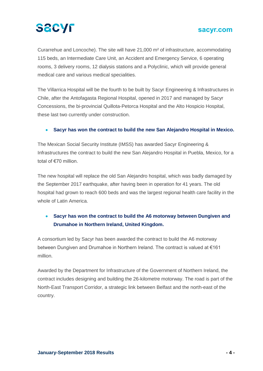### **sacyr.com**

Curarrehue and Loncoche). The site will have 21,000 m² of infrastructure, accommodating 115 beds, an Intermediate Care Unit, an Accident and Emergency Service, 6 operating rooms, 3 delivery rooms, 12 dialysis stations and a Polyclinic, which will provide general medical care and various medical specialities.

The Villarrica Hospital will be the fourth to be built by Sacyr Engineering & Infrastructures in Chile, after the Antofagasta Regional Hospital, opened in 2017 and managed by Sacyr Concessions, the bi-provincial Quillota-Petorca Hospital and the Alto Hospicio Hospital, these last two currently under construction.

#### • **Sacyr has won the contract to build the new San Alejandro Hospital in Mexico.**

The Mexican Social Security Institute (IMSS) has awarded Sacyr Engineering & Infrastructures the contract to build the new San Alejandro Hospital in Puebla, Mexico, for a total of €70 million.

The new hospital will replace the old San Alejandro hospital, which was badly damaged by the September 2017 earthquake, after having been in operation for 41 years. The old hospital had grown to reach 600 beds and was the largest regional health care facility in the whole of Latin America

#### • **Sacyr has won the contract to build the A6 motorway between Dungiven and Drumahoe in Northern Ireland, United Kingdom.**

A consortium led by Sacyr has been awarded the contract to build the A6 motorway between Dungiven and Drumahoe in Northern Ireland. The contract is valued at €161 million.

Awarded by the Department for Infrastructure of the Government of Northern Ireland, the contract includes designing and building the 26-kilometre motorway. The road is part of the North-East Transport Corridor, a strategic link between Belfast and the north-east of the country.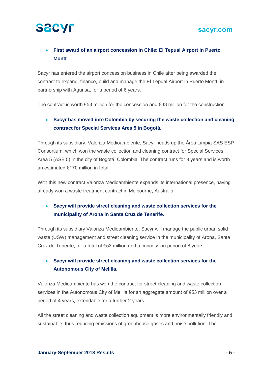# **SACYF**

### • **First award of an airport concession in Chile: El Tepual Airport in Puerto Montt**

Sacyr has entered the airport concession business in Chile after being awarded the contract to expand, finance, build and manage the El Tepual Airport in Puerto Montt, in partnership with Agunsa, for a period of 6 years.

The contract is worth €58 million for the concession and €33 million for the construction.

#### • **Sacyr has moved into Colombia by securing the waste collection and cleaning contract for Special Services Area 5 in Bogotá.**

Through its subsidiary, Valoriza Medioambiente, Sacyr heads up the Área Limpia SAS ESP Consortium, which won the waste collection and cleaning contract for Special Services Area 5 (ASE 5) in the city of Bogotá, Colombia. The contract runs for 8 years and is worth an estimated €170 million in total.

With this new contract Valoriza Medioambiente expands its international presence, having already won a waste treatment contract in Melbourne, Australia.

### • **Sacyr will provide street cleaning and waste collection services for the municipality of Arona in Santa Cruz de Tenerife.**

Through its subsidiary Valoriza Medioambiente, Sacyr will manage the public urban solid waste (USW) management and street cleaning service in the municipality of Arona, Santa Cruz de Tenerife, for a total of €53 million and a concession period of 8 years.

#### • **Sacyr will provide street cleaning and waste collection services for the Autonomous City of Melilla.**

Valoriza Medioambiente has won the contract for street cleaning and waste collection services in the Autonomous City of Melilla for an aggregate amount of €53 million over a period of 4 years, extendable for a further 2 years.

All the street cleaning and waste collection equipment is more environmentally friendly and sustainable, thus reducing emissions of greenhouse gases and noise pollution. The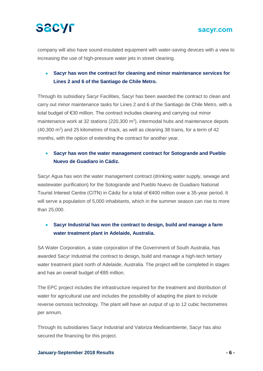

company will also have sound-insulated equipment with water-saving devices with a view to increasing the use of high-pressure water jets in street cleaning.

#### • **Sacyr has won the contract for cleaning and minor maintenance services for Lines 2 and 6 of the Santiago de Chile Metro.**

Through its subsidiary Sacyr Facilities, Sacyr has been awarded the contract to clean and carry out minor maintenance tasks for Lines 2 and 6 of the Santiago de Chile Metro, with a total budget of €30 million. The contract includes cleaning and carrying out minor maintenance work at 32 stations ( $220,300$  m<sup>2</sup>), intermodal hubs and maintenance depots  $(40,300 \text{ m}^2)$  and 25 kilometres of track, as well as cleaning 38 trains, for a term of 42 months, with the option of extending the contract for another year.

#### • **Sacyr has won the water management contract for Sotogrande and Pueblo Nuevo de Guadiaro in Cádiz.**

Sacyr Agua has won the water management contract (drinking water supply, sewage and wastewater purification) for the Sotogrande and Pueblo Nuevo de Guadiaro National Tourist Interest Centre (CITN) in Cádiz for a total of €400 million over a 35-year period. It will serve a population of 5,000 inhabitants, which in the summer season can rise to more than 25,000.

#### • **Sacyr Industrial has won the contract to design, build and manage a farm water treatment plant in Adelaide, Australia.**

SA Water Corporation, a state corporation of the Government of South Australia, has awarded Sacyr Industrial the contract to design, build and manage a high-tech tertiary water treatment plant north of Adelaide, Australia. The project will be completed in stages and has an overall budget of €85 million.

The EPC project includes the infrastructure required for the treatment and distribution of water for agricultural use and includes the possibility of adapting the plant to include reverse osmosis technology. The plant will have an output of up to 12 cubic hectometres per annum.

Through its subsidiaries Sacyr Industrial and Valoriza Medioambiente, Sacyr has also secured the financing for this project.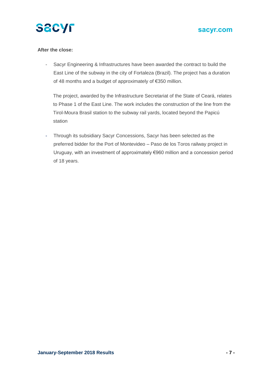

#### **After the close:**

- Sacyr Engineering & Infrastructures have been awarded the contract to build the East Line of the subway in the city of Fortaleza (Brazil). The project has a duration of 48 months and a budget of approximately of €350 million.

The project, awarded by the Infrastructure Secretariat of the State of Ceará, relates to Phase 1 of the East Line. The work includes the construction of the line from the Tirol-Moura Brasil station to the subway rail yards, located beyond the Papicú station

- Through its subsidiary Sacyr Concessions, Sacyr has been selected as the preferred bidder for the Port of Montevideo – Paso de los Toros railway project in Uruguay, with an investment of approximately €960 million and a concession period of 18 years.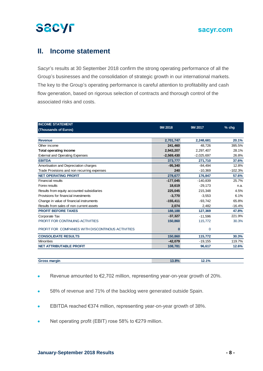## **II. Income statement**

Sacyr's results at 30 September 2018 confirm the strong operating performance of all the Group's businesses and the consolidation of strategic growth in our international markets. The key to the Group's operating performance is careful attention to profitability and cash flow generation, based on rigorous selection of contracts and thorough control of the associated risks and costs.

| <b>INCOME STATEMENT</b>                           |              |              |           |  |
|---------------------------------------------------|--------------|--------------|-----------|--|
| (Thousands of Euros)                              | 9M 2018      | 9M 2017      | $%$ chg   |  |
|                                                   |              |              |           |  |
| <b>Revenue</b>                                    | 2,701,747    | 2,248,681    | 20.1%     |  |
| Other income                                      | 241,460      | 48.726       | 395.5%    |  |
| <b>Total operating income</b>                     | 2.943.207    | 2,297,407    | 28.1%     |  |
| <b>External and Operating Expenses</b>            | $-2,569,430$ | $-2,025,697$ | 26.8%     |  |
| <b>EBITDA</b>                                     | 373,777      | 271,710      | 37.6%     |  |
| Amortisation and Depreciation charges             | $-95,340$    | $-84.494$    | 12.8%     |  |
| Trade Provisions and non recurring expenses       | 240          | $-10,369$    | $-102.3%$ |  |
| <b>NET OPERATING PROFIT</b>                       | 278,677      | 176,847      | 57.6%     |  |
| <b>Financial results</b>                          | $-177,045$   | $-140,839$   | 25.7%     |  |
| Forex results                                     | 18,619       | $-29,173$    | n.a.      |  |
| Results from equity accounted subsidiaries        | 225,045      | 215,348      | 4.5%      |  |
| Provisions for financial investments              | $-3,770$     | $-3,553$     | 6.1%      |  |
| Change in value of financial instruments          | $-155,411$   | $-93,742$    | 65.8%     |  |
| Results from sales of non current assets          | 2,074        | 2,482        | $-16.4%$  |  |
| <b>PROFIT BEFORE TAXES</b>                        | 188,188      | 127,369      | 47.8%     |  |
| Corporate Tax                                     | $-37,327$    | $-11.596$    | 221.9%    |  |
| PROFIT FOR CONTINUING ACTIVITIES                  | 150,860      | 115,772      | 30.3%     |  |
| PROFIT FOR COMPANIES WITH DISCONTINOUS ACTIVITIES | 0            | $\mathbf 0$  |           |  |
| <b>CONSOLIDATE RESULTS</b>                        | 150,860      | 115,772      | 30.3%     |  |
| <b>Minorities</b>                                 | $-42,079$    | $-19,155$    | 119.7%    |  |
| <b>NET ATTRIBUTABLE PROFIT</b>                    | 108,781      | 96,617       | 12.6%     |  |
|                                                   |              |              |           |  |

| Canal Corporation Corporation Corporation Corporation Corporation Corporation Corporation Corporation Corporation Corporation Corporation Corporation Corporation Corporation Corporation Corporation Corporation Corporation<br>mır<br>-- | 12.00/ | 12.40/<br>70 |  |
|--------------------------------------------------------------------------------------------------------------------------------------------------------------------------------------------------------------------------------------------|--------|--------------|--|
|                                                                                                                                                                                                                                            |        |              |  |

- Revenue amounted to €2,702 million, representing year-on-year growth of 20%.
- 58% of revenue and 71% of the backlog were generated outside Spain.
- EBITDA reached €374 million, representing year-on-year growth of 38%.
- Net operating profit (EBIT) rose 58% to €279 million.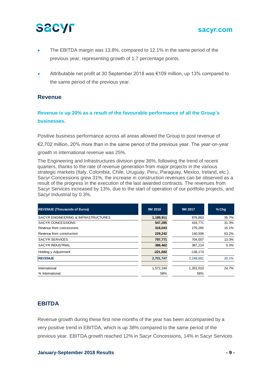#### **sacyr.com**

- The EBITDA margin was 13.8%, compared to 12.1% in the same period of the previous year, representing growth of 1.7 percentage points.
- Attributable net profit at 30 September 2018 was €109 million, up 13% compared to the same period of the previous year.

#### **Revenue**

#### **Revenue is up 20% as a result of the favourable performance of all the Group's businesses.**

Positive business performance across all areas allowed the Group to post revenue of

€2,702 million, 20% more than in the same period of the previous year. The year-on-year

growth in international revenue was 25%.

The Engineering and Infrastructures division grew 36%, following the trend of recent quarters, thanks to the rate of revenue generation from major projects in the various strategic markets (Italy, Colombia, Chile, Uruguay, Peru, Paraguay, Mexico, Ireland, etc.). Sacyr Concessions grew 31%, the increase in construction revenues can be observed as a result of the progress in the execution of the last awarded contracts. The revenues from Sacyr Services increased by 13%, due to the start of operation of our portfolio projects, and Sacyr Industrial by 0.3%.

| <b>REVENUE (Thousands of Euros)</b> | 9M 2018    | 9M 2017    | $%$ Chg |
|-------------------------------------|------------|------------|---------|
| SACYR ENGINEERING & INFRASTRUCTURES | 1,189,911  | 876,863    | 35.7%   |
| <b>SACYR CONCESSIONS</b>            | 547,285    | 416.771    | 31.3%   |
| Revenue from concessions            | 318,043    | 276,265    | 15.1%   |
| Revenue from construction           | 229,242    | 140.506    | 63.2%   |
| <b>SACYR SERVICES</b>               | 797,771    | 704,007    | 13.3%   |
| <b>SACYR INDUSTRIAL</b>             | 388,462    | 387,214    | 0.3%    |
| Holding y Adjustment                | $-221,682$ | $-136.174$ |         |
| <b>REVENUE</b>                      | 2,701,747  | 2,248,681  | 20.1%   |
| International                       | 1,572,240  | 1,261,010  | 24.7%   |
| % International                     | 58%        | 56%        |         |

### **EBITDA**

Revenue growth during these first nine months of the year has been accompanied by a very positive trend in EBITDA, which is up 38% compared to the same period of the previous year. EBITDA growth reached 12% in Sacyr Concessions, 14% in Sacyr Services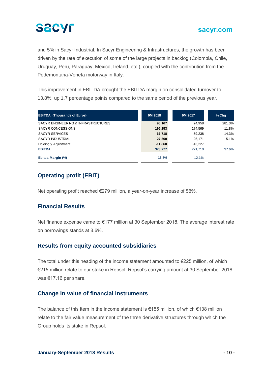

and 5% in Sacyr Industrial. In Sacyr Engineering & Infrastructures, the growth has been driven by the rate of execution of some of the large projects in backlog (Colombia, Chile, Uruguay, Peru, Paraguay, Mexico, Ireland, etc.), coupled with the contribution from the Pedemontana-Veneta motorway in Italy.

This improvement in EBITDA brought the EBITDA margin on consolidated turnover to 13.8%, up 1.7 percentage points compared to the same period of the previous year.

| <b>EBITDA (Thousands of Euros)</b>  | 9M 2018   | 9M 2017   | $%$ Chq |
|-------------------------------------|-----------|-----------|---------|
| SACYR ENGINEERING & INFRASTRUCTURES | 95,167    | 24.958    | 281.3%  |
| SACYR CONCESSIONS                   | 195,253   | 174.569   | 11.8%   |
| <b>SACYR SERVICES</b>               | 67,718    | 59,238    | 14.3%   |
| SACYR INDUSTRIAL                    | 27,500    | 26,171    | 5.1%    |
| Holding y Adjustment                | $-11,860$ | $-13,227$ |         |
| <b>EBITDA</b>                       | 373,777   | 271.710   | 37.6%   |
| Ebitda Margin (%)                   | 13.8%     | 12.1%     |         |

### **Operating profit (EBIT)**

Net operating profit reached €279 million, a year-on-year increase of 58%.

#### **Financial Results**

Net finance expense came to €177 million at 30 September 2018. The average interest rate on borrowings stands at 3.6%.

#### **Results from equity accounted subsidiaries**

The total under this heading of the income statement amounted to  $E$ 225 million, of which €215 million relate to our stake in Repsol. Repsol's carrying amount at 30 September 2018 was €17.16 per share.

#### **Change in value of financial instruments**

The balance of this item in the income statement is €155 million, of which €138 million relate to the fair value measurement of the three derivative structures through which the Group holds its stake in Repsol.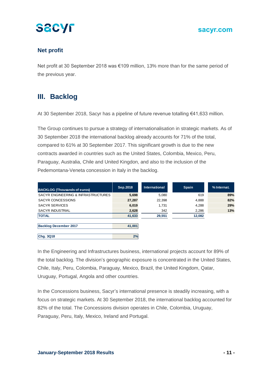

#### **Net profit**

Net profit at 30 September 2018 was €109 million, 13% more than for the same period of the previous year.

## **III. Backlog**

At 30 September 2018, Sacyr has a pipeline of future revenue totalling €41,633 million.

The Group continues to pursue a strategy of internationalisation in strategic markets. As of 30 September 2018 the international backlog already accounts for 71% of the total, compared to 61% at 30 September 2017. This significant growth is due to the new contracts awarded in countries such as the United States, Colombia, Mexico, Peru, Paraguay, Australia, Chile and United Kingdon, and also to the inclusion of the Pedemontana-Veneta concession in Italy in the backlog.

| <b>BACKLOG (Thousands of euros)</b> | Sep. 2018 | <b>International</b> | <b>Spain</b> | % Internat. |
|-------------------------------------|-----------|----------------------|--------------|-------------|
| SACYR ENGINEERING & INFRASTRUCTURES | 5,698     | 5,080                | 619          | 89%         |
| SACYR CONCESSIONS                   | 27,287    | 22,398               | 4,888        | 82%         |
| <b>SACYR SERVICES</b>               | 6,019     | 1,731                | 4,288        | 29%         |
| <b>SACYR INDUSTRIAL</b>             | 2,628     | 342                  | 2,286        | 13%         |
| <b>TOTAL</b>                        | 41,633    | 29,551               | 12,082       |             |
|                                     |           |                      |              |             |
| <b>Backlog December 2017</b>        | 41,001    |                      |              |             |
|                                     |           |                      |              |             |
| Chg. 3Q18                           | 2%        |                      |              |             |

In the Engineering and Infrastructures business, international projects account for 89% of the total backlog. The division's geographic exposure is concentrated in the United States, Chile, Italy, Peru, Colombia, Paraguay, Mexico, Brazil, the United Kingdom, Qatar, Uruguay, Portugal, Angola and other countries.

In the Concessions business, Sacyr's international presence is steadily increasing, with a focus on strategic markets. At 30 September 2018, the international backlog accounted for 82% of the total. The Concessions division operates in Chile, Colombia, Uruguay, Paraguay, Peru, Italy, Mexico, Ireland and Portugal.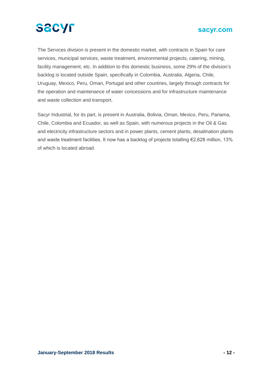

The Services division is present in the domestic market, with contracts in Spain for care services, municipal services, waste treatment, environmental projects, catering, mining, facility management, etc. In addition to this domestic business, some 29% of the division's backlog is located outside Spain, specifically in Colombia, Australia, Algeria, Chile, Uruguay, Mexico, Peru, Oman, Portugal and other countries, largely through contracts for the operation and maintenance of water concessions and for infrastructure maintenance and waste collection and transport.

Sacyr Industrial, for its part, is present in Australia, Bolivia, Oman, Mexico, Peru, Panama, Chile, Colombia and Ecuador, as well as Spain, with numerous projects in the Oil & Gas and electricity infrastructure sectors and in power plants, cement plants, desalination plants and waste treatment facilities. It now has a backlog of projects totalling €2,628 million, 13% of which is located abroad.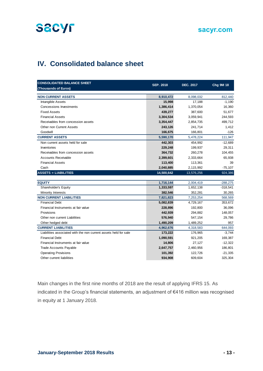

## **IV. Consolidated balance sheet**

| <b>CONSOLIDATED BALANCE SHEET</b>                                | <b>SEP. 2018</b> | <b>DEC. 2017</b> | <b>Chg 9M 18</b> |
|------------------------------------------------------------------|------------------|------------------|------------------|
| (Thousands of Euros)                                             |                  |                  |                  |
| <b>NON CURRENT ASSETS</b>                                        | 8,910,472        | 8,098,032        | 812,440          |
| Intangible Assets                                                | 15,998           | 17,188           | $-1,190$         |
| <b>Concessions Investments</b>                                   | 1,386,414        | 1,370,054        | 16,360           |
| <b>Fixed Assets</b>                                              | 439,277          | 387,600          | 51,677           |
| <b>Financial Assets</b>                                          | 3,304,534        | 3,059,941        | 244,593          |
| Receivables from concession assets                               | 3,354,447        | 2,854,735        | 499,712          |
| Other non Current Assets                                         | 243,126          | 241,714          | 1,412            |
| Goodwill                                                         | 166,675          | 166,801          | $-126$           |
| <b>CURRENT ASSETS</b>                                            | 5,590,170        | 5,478,224        | 111,947          |
| Non current assets held for sale                                 | 442,303          | 454,992          | $-12,689$        |
| Inventories                                                      | 229,248          | 199,937          | 29,311           |
| Receivables from concession assets                               | 364,732          | 260,278          | 104,455          |
| <b>Accounts Receivable</b>                                       | 2,399,601        | 2,333,664        | 65,938           |
| <b>Financial Assets</b>                                          | 113,400          | 113,361          | 39               |
| Cash                                                             | 2,040,885        | 2,115,992        | $-75,107$        |
| <b>ASSETS = LIABILITIES</b>                                      | 14,500,642       | 13,576,256       | 924,386          |
|                                                                  |                  |                  |                  |
| <b>EQUITY</b>                                                    | 1,716,144        | 2,004,419        | $-288,275$       |
| Shareholder's Equity                                             | 1,333,597        | 1,652,138        | $-318,541$       |
| Minority Interests                                               | 382,546          | 352,281          | 30,265           |
| <b>NON CURRENT LIABILITIES</b>                                   | 7,821,823        | 7,253,254        | 568,569          |
| <b>Financial Debt</b>                                            | 5,082,839        | 4,729,167        | 353,672          |
| Financial Instruments at fair value                              | 228,896          | 192,800          | 36,096           |
| Provisions                                                       | 442,939          | 294,882          | 148,057          |
| Other non current Liabilities                                    | 576,940          | 547,154          | 29,786           |
| Other hedged debt                                                | 1,490,209        | 1,489,252        | 957              |
| <b>CURRENT LIABILITIES</b>                                       | 4,962,676        | 4,318,583        | 644,093          |
| Liabilities associated with the non current assets held for sale | 173,222          | 176,965          | $-3,744$         |
| <b>Financial Debt</b>                                            | 1,090,591        | 921,205          | 169,387          |
| Financial Instruments at fair value                              | 14,806           | 27,127           | $-12,322$        |
| <b>Trade Accounts Payable</b>                                    | 2,647,757        | 2,460,956        | 186,801          |
| <b>Operating Provisions</b>                                      | 101,392          | 122,726          | $-21,335$        |
| Other current liabilities                                        | 934,908          | 609,604          | 325,304          |

Main changes in the first nine months of 2018 are the result of applying IFRS 15. As indicated in the Group's financial statements, an adjustment of €416 million was recognised in equity at 1 January 2018.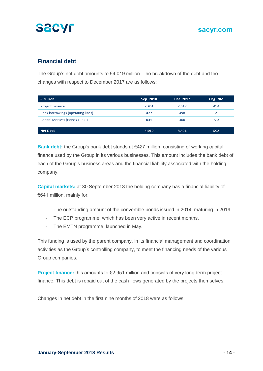



### **Financial debt**

The Group's net debt amounts to €4,019 million. The breakdown of the debt and the changes with respect to December 2017 are as follows:

| € Million                         | Sep. 2018 | Dec. 2017 | Chg. 9M |
|-----------------------------------|-----------|-----------|---------|
| <b>Project Finance</b>            | 2,951     | 2.517     | 434     |
| Bank borrowings (operating lines) | 427       | 498       | -71     |
| Capital Markets (Bonds + ECP)     | 641       | 406       | 235     |
|                                   |           |           |         |
| <b>Net Debt</b>                   | 4,019     | 3,421     | 598     |

**Bank debt:** the Group's bank debt stands at €427 million, consisting of working capital finance used by the Group in its various businesses. This amount includes the bank debt of each of the Group's business areas and the financial liability associated with the holding company.

**Capital markets:** at 30 September 2018 the holding company has a financial liability of €641 million, mainly for:

- The outstanding amount of the convertible bonds issued in 2014, maturing in 2019.
- The ECP programme, which has been very active in recent months.
- The EMTN programme, launched in May.

This funding is used by the parent company, in its financial management and coordination activities as the Group's controlling company, to meet the financing needs of the various Group companies.

**Project finance:** this amounts to €2,951 million and consists of very long-term project finance. This debt is repaid out of the cash flows generated by the projects themselves.

Changes in net debt in the first nine months of 2018 were as follows: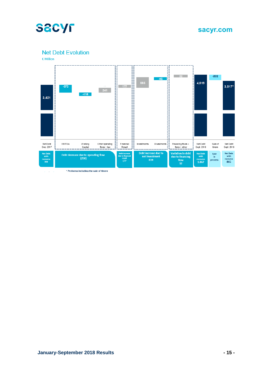

**Net Debt Evolution** 



\* Proforma including the sale of Itinere  $\omega_{\rm c}$  and  $\omega_{\rm c}$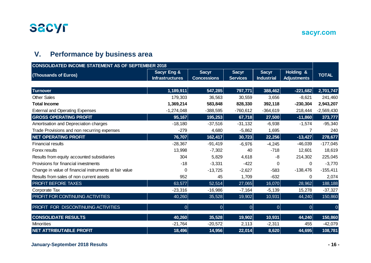

## **V. Performance by business area**

| <b>CONSOLIDATED INCOME STATEMENT AS OF SEPTEMBER 2018</b> |                                                  |                                    |                                 |                                   |                                 |              |  |  |
|-----------------------------------------------------------|--------------------------------------------------|------------------------------------|---------------------------------|-----------------------------------|---------------------------------|--------------|--|--|
| (Thousands of Euros)                                      | <b>Sacyr Eng &amp;</b><br><b>Infrastructures</b> | <b>Sacyr</b><br><b>Concessions</b> | <b>Sacyr</b><br><b>Services</b> | <b>Sacyr</b><br><b>Industrial</b> | Holding &<br><b>Adjustments</b> | <b>TOTAL</b> |  |  |
|                                                           |                                                  |                                    |                                 |                                   |                                 |              |  |  |
| <b>Turnover</b>                                           | 1,189,911                                        | 547,285                            | 797,771                         | 388,462                           | $-221,682$                      | 2,701,747    |  |  |
| <b>Other Sales</b>                                        | 179,303                                          | 36,563                             | 30,559                          | 3,656                             | $-8,621$                        | 241,460      |  |  |
| <b>Total Income</b>                                       | 1,369,214                                        | 583,848                            | 828,330                         | 392,118                           | $-230,304$                      | 2,943,207    |  |  |
| <b>External and Operating Expenses</b>                    | $-1,274,048$                                     | $-388,595$                         | $-760,612$                      | $-364,619$                        | 218,444                         | $-2,569,430$ |  |  |
| <b>GROSS OPERATING PROFIT</b>                             | 95,167                                           | 195,253                            | 67,718                          | 27,500                            | $-11,860$                       | 373,777      |  |  |
| Amortisation and Depreciation charges                     | $-18,180$                                        | $-37,516$                          | $-31,132$                       | $-6,938$                          | $-1,574$                        | $-95,340$    |  |  |
| Trade Provisions and non recurring expenses               | $-279$                                           | 4,680                              | $-5,862$                        | 1,695                             | 7                               | 240          |  |  |
| <b>NET OPERATING PROFIT</b>                               | 76,707                                           | 162,417                            | 30,723                          | 22,256                            | $-13,427$                       | 278,677      |  |  |
| <b>Financial results</b>                                  | $-28,367$                                        | $-91,419$                          | $-6,976$                        | $-4,245$                          | $-46,039$                       | $-177,045$   |  |  |
| Forex results                                             | 13,998                                           | $-7,302$                           | 40                              | $-718$                            | 12,601                          | 18,619       |  |  |
| Results from equity accounted subsidiaries                | 304                                              | 5,829                              | 4,618                           | -8                                | 214,302                         | 225,045      |  |  |
| Provisions for financial investments                      | $-18$                                            | $-3,331$                           | $-422$                          | $\Omega$                          | 0                               | $-3,770$     |  |  |
| Change in value of financial instruments at fair value    | 0                                                | $-13,725$                          | $-2,627$                        | $-583$                            | $-138,476$                      | $-155,411$   |  |  |
| Results from sales of non current assets                  | 952                                              | 45                                 | 1,709                           | $-632$                            | 0                               | 2,074        |  |  |
| PROFIT BEFORE TAXES                                       | 63,577                                           | 52,514                             | 27,065                          | 16,070                            | 28,962                          | 188,188      |  |  |
| Corporate Tax                                             | $-23,316$                                        | $-16,986$                          | $-7,164$                        | $-5,139$                          | 15,278                          | $-37,327$    |  |  |
| PROFIT FOR CONTINUING ACTIVITIES                          | 40,260                                           | 35,528                             | 19,902                          | 10,931                            | 44,240                          | 150,860      |  |  |
| PROFIT FOR DISCONTINUING ACTIVITIES                       | $\overline{0}$                                   | $\overline{0}$                     | 0                               | 0                                 | 0                               | $\Omega$     |  |  |
| <b>CONSOLIDATE RESULTS</b>                                | 40,260                                           | 35,528                             | 19,902                          | 10,931                            | 44,240                          | 150,860      |  |  |
| <b>Minorities</b>                                         | $-21,764$                                        | $-20,572$                          | 2,113                           | $-2,311$                          | 455                             | $-42,079$    |  |  |
| <b>NET ATTRIBUTABLE PROFIT</b>                            | 18,496                                           | 14,956                             | 22,014                          | 8,620                             | 44,695                          | 108,781      |  |  |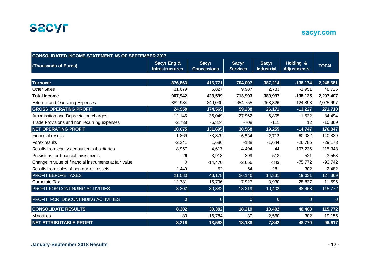

| <b>CONSOLIDATED INCOME STATEMENT AS OF SEPTEMBER 2017</b> |                                                  |                                    |                                 |                                   |                                 |                |  |
|-----------------------------------------------------------|--------------------------------------------------|------------------------------------|---------------------------------|-----------------------------------|---------------------------------|----------------|--|
| (Thousands of Euros)                                      | <b>Sacyr Eng &amp;</b><br><b>Infrastructures</b> | <b>Sacyr</b><br><b>Concessions</b> | <b>Sacyr</b><br><b>Services</b> | <b>Sacyr</b><br><b>Industrial</b> | Holding &<br><b>Adjustments</b> | <b>TOTAL</b>   |  |
|                                                           |                                                  |                                    |                                 |                                   |                                 |                |  |
| <b>Turnover</b>                                           | 876,863                                          | 416,771                            | 704,007                         | 387,214                           | $-136, 174$                     | 2,248,681      |  |
| <b>Other Sales</b>                                        | 31,079                                           | 6,827                              | 9,987                           | 2,783                             | $-1,951$                        | 48,726         |  |
| <b>Total Income</b>                                       | 907,942                                          | 423,599                            | 713,993                         | 389,997                           | $-138, 125$                     | 2,297,407      |  |
| <b>External and Operating Expenses</b>                    | $-882,984$                                       | $-249,030$                         | $-654,755$                      | $-363,826$                        | 124,898                         | $-2,025,697$   |  |
| <b>GROSS OPERATING PROFIT</b>                             | 24,958                                           | 174,569                            | 59,238                          | 26,171                            | $-13,227$                       | 271,710        |  |
| Amortisation and Depreciation charges                     | $-12,145$                                        | $-36,049$                          | $-27,962$                       | $-6,805$                          | $-1,532$                        | $-84,494$      |  |
| Trade Provisions and non recurring expenses               | $-2,738$                                         | $-6,824$                           | $-708$                          | $-111$                            | 12                              | $-10,369$      |  |
| <b>NET OPERATING PROFIT</b>                               | 10,075                                           | 131,695                            | 30,568                          | 19,255                            | $-14,747$                       | 176,847        |  |
| <b>Financial results</b>                                  | 1,869                                            | $-73,379$                          | $-6,534$                        | $-2,713$                          | $-60,082$                       | $-140,839$     |  |
| Forex results                                             | $-2,241$                                         | 1,686                              | $-188$                          | $-1,644$                          | $-26,786$                       | $-29,173$      |  |
| Results from equity accounted subsidiaries                | 8,957                                            | 4,617                              | 4,494                           | 44                                | 197,236                         | 215,348        |  |
| Provisions for financial investments                      | $-26$                                            | $-3,918$                           | 399                             | 513                               | $-521$                          | $-3,553$       |  |
| Change in value of financial instruments at fair value    | 0                                                | $-14,470$                          | $-2,656$                        | $-843$                            | $-75,772$                       | $-93,742$      |  |
| Results from sales of non current assets                  | 2,449                                            | $-52$                              | 64                              | $-281$                            | 302                             | 2,482          |  |
| <b>PROFIT BEFORE TAXES</b>                                | 21,083                                           | 46,178                             | 26,146                          | 14,331                            | 19,631                          | 127,369        |  |
| Corporate Tax                                             | $-12,781$                                        | $-15,796$                          | $-7,927$                        | $-3,930$                          | 28,837                          | $-11,596$      |  |
| PROFIT FOR CONTINUING ACTIVITIES                          | 8,302                                            | 30,382                             | 18,219                          | 10,402                            | 48,468                          | 115,772        |  |
| PROFIT FOR DISCONTINUING ACTIVITIES                       | $\overline{0}$                                   | 0                                  | 0                               | $\overline{0}$                    | 0                               | $\overline{0}$ |  |
| <b>CONSOLIDATE RESULTS</b>                                | 8,302                                            | 30,382                             | 18,219                          | 10,402                            | 48,468                          | 115,772        |  |
| <b>Minorities</b>                                         | $-83$                                            | $-16,784$                          | $-30$                           | $-2,560$                          | 302                             | $-19,155$      |  |
| <b>NET ATTRIBUTABLE PROFIT</b>                            | 8,219                                            | 13,598                             | 18,188                          | 7,842                             | 48,770                          | 96,617         |  |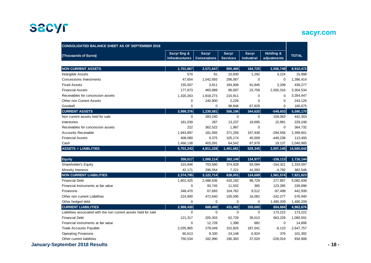## **sacyr.com**

| (Thousands of Euros)                                             | <b>Sacyr Eng &amp;</b><br><b>Infrastructures</b> | <b>Sacyr</b><br><b>Concessions</b> | <b>Sacyr</b><br><b>Services</b> | <b>Sacyr</b><br>Industrial | Holding &<br>adjustments | <b>TOTAL</b> |
|------------------------------------------------------------------|--------------------------------------------------|------------------------------------|---------------------------------|----------------------------|--------------------------|--------------|
| <b>NON CURRENT ASSETS</b>                                        | 1,701,867                                        | 3,571,647                          | 895,485                         | 184,725                    | 2,556,748                | 8,910,472    |
| Intangible Assets                                                | 570                                              | 81                                 | 10,830                          | 1,292                      | 3,224                    | 15,998       |
| Concessions Investments                                          | 47,654                                           | 1,042,693                          | 296,067                         | 0                          | $\mathbf 0$              | 1,386,414    |
| <b>Fixed Assets</b>                                              | 155,507                                          | 3,811                              | 184,906                         | 91,845                     | 3,208                    | 439,277      |
| <b>Financial Assets</b>                                          | 177,873                                          | 465,889                            | 86,697                          | 23,759                     | 2,550,316                | 3,304,534    |
| Receivables for concession assets                                | 1,320,263                                        | 1,818,273                          | 215,911                         | 0                          | $\mathbf 0$              | 3,354,447    |
| Other non Current Assets                                         | $\mathbf 0$                                      | 240,900                            | 2,226                           | $\mathbf 0$                | $\mathbf 0$              | 243,126      |
| Goodwill                                                         | $\mathbf 0$                                      | $\mathbf 0$                        | 98,846                          | 67,829                     | $\mathbf 0$              | 166,675      |
| <b>CURRENT ASSETS</b>                                            | 3,999,376                                        | 1,239,581                          | 556,196                         | 344,620                    | $-549,603$               | 5,590,170    |
| Non current assets held for sale                                 | $\mathbf 0$                                      | 283,240                            | $\mathbf 0$                     | 0                          | 159,063                  | 442,303      |
| Inventories                                                      | 181,039                                          | 287                                | 13,237                          | 18,695                     | 15,991                   | 229,248      |
| Receivables for concession assets                                | 222                                              | 362,522                            | 1,987                           | $\mathbf 0$                | $\mathbf 0$              | 364,732      |
| <b>Accounts Receivable</b>                                       | 1,943,897                                        | 181,065                            | 371,256                         | 197,938                    | $-294,556$               | 2,399,601    |
| <b>Financial Assets</b>                                          | 408,080                                          | 9,375                              | 105,174                         | 40,009                     | $-449,238$               | 113,400      |
| Cash                                                             | 1,466,138                                        | 403,091                            | 64,542                          | 87,978                     | 19,137                   | 2,040,885    |
| <b>ASSETS = LIABILITIES</b>                                      | 5,701,243                                        | 4,811,228                          | 1,451,681                       | 529,345                    | 2,007,145                | 14,500,642   |
| <b>Equity</b>                                                    | 358,017                                          | 1,000,114                          | 382,149                         | 134,977                    | $-159, 113$              | 1,716,144    |
| Shareholder's Equity                                             | 315,846                                          | 703,560                            | 374,928                         | 93,584                     | $-154,321$               | 1,333,597    |
| <b>Minority Interests</b>                                        | 42,171                                           | 296,554                            | 7,221                           | 41,393                     | $-4,792$                 | 382,546      |
| <b>NON CURRENT LIABILITIES</b>                                   | 2,374,795                                        | 3,122,714                          | 638,051                         | 124,689                    | 1,561,574                | 7,821,823    |
| <b>Financial Debt</b>                                            | 1,801,425                                        | 2,488,636                          | 416,192                         | 98,729                     | 277,857                  | 5,082,839    |
| Financial Instruments at fair value                              | $\Omega$                                         | 93,745                             | 11,502                          | 365                        | 123,285                  | 228,896      |
| Provisions                                                       | 348,470                                          | 67,693                             | 104,762                         | 9,512                      | $-87,499$                | 442,939      |
| Other non current Liabilities                                    | 224,900                                          | 472,640                            | 105,595                         | 16,082                     | $-242,277$               | 576,940      |
| Other hedged debt                                                | $\mathbf 0$                                      | 0                                  | $\mathbf 0$                     | 0                          | 1,490,209                | 1,490,209    |
| <b>CURRENT LIABILITIES</b>                                       | 2,968,430                                        | 688,400                            | 431,482                         | 269,680                    | 604,684                  | 4,962,676    |
| Liabilities associated with the non current assets held for sale | 0                                                | 0                                  | 0                               | 0                          | 173,222                  | 173,222      |
| <b>Financial Debt</b>                                            | 121,317                                          | 205,303                            | 62,729                          | 38,013                     | 663,228                  | 1,090,591    |
| Financial instruments at fair value                              | $\mathbf 0$                                      | 12,728                             | 1,396                           | 682                        | $\mathbf 0$              | 14,806       |
| <b>Trade Accounts Payable</b>                                    | 2,035,965                                        | 278,049                            | 152,825                         | 187,041                    | $-6,123$                 | 2,647,757    |
| <b>Operating Provisions</b>                                      | 60,613                                           | 9,330                              | 24,148                          | 6,924                      | 376                      | 101,392      |
| Other current liabilities                                        | 750,534                                          | 182,990                            | 190,383                         | 37,020                     | $-226,019$               | 934,908      |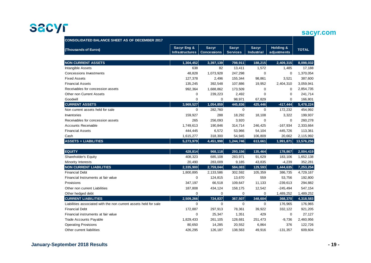#### **sacyr.com**

| <b>CONSOLIDATED BALANCE SHEET AS OF DECEMBER 2017</b>            |                                       |                                    |                                 |                                   |                          |              |
|------------------------------------------------------------------|---------------------------------------|------------------------------------|---------------------------------|-----------------------------------|--------------------------|--------------|
| (Thousands of Euros)                                             | Sacyr Eng &<br><b>Infrastructures</b> | <b>Sacyr</b><br><b>Concessions</b> | <b>Sacyr</b><br><b>Services</b> | <b>Sacyr</b><br><b>Industrial</b> | Holding &<br>adjustments | <b>TOTAL</b> |
| <b>NON CURRENT ASSETS</b>                                        | 1,304,452                             | 3,397,139                          | 798,911                         | 188,215                           | 2,409,315                | 8,098,032    |
| Intangible Assets                                                | 638                                   | 82                                 | 13,411                          | 1,572                             | 1,485                    | 17,188       |
| Concessions Investments                                          | 48,828                                | 1,073,928                          | 247,298                         | $\overline{0}$                    | $\mathbf 0$              | 1,370,054    |
| <b>Fixed Assets</b>                                              | 127,378                               | 2,496                              | 155,344                         | 98,861                            | 3,521                    | 387,600      |
| <b>Financial Assets</b>                                          | 135,245                               | 392,548                            | 107,886                         | 19,952                            | 2,404,310                | 3,059,941    |
| Receivables for concession assets                                | 992,364                               | 1,688,862                          | 173,509                         | 0                                 | $\mathbf 0$              | 2,854,735    |
| <b>Other non Current Assets</b>                                  | 0                                     | 239,223                            | 2,492                           | $\Omega$                          | $\Omega$                 | 241,714      |
| Goodwill                                                         | $\overline{0}$                        | $\mathbf 0$                        | 98,971                          | 67,829                            | $\Omega$                 | 166,801      |
| <b>CURRENT ASSETS</b>                                            | 3,969,527                             | 1,054,859                          | 445,836                         | 425,446                           | $-417,444$               | 5,478,224    |
| Non current assets held for sale                                 | $\mathbf 0$                           | 282,760                            | $\mathbf 0$                     | $\mathbf 0$                       | 172,232                  | 454,992      |
| Inventories                                                      | 159,927                               | 288                                | 18,292                          | 18,108                            | 3,322                    | 199,937      |
| Receivables for concession assets                                | 265                                   | 256,093                            | 3,920                           | $\overline{0}$                    | $\mathbf 0$              | 260,278      |
| <b>Accounts Receivable</b>                                       | 1,749,613                             | 190,846                            | 314,714                         | 246,425                           | $-167,934$               | 2,333,664    |
| <b>Financial Assets</b>                                          | 444,445                               | 6,572                              | 53,966                          | 54,104                            | $-445,726$               | 113,361      |
| Cash                                                             | 1,615,277                             | 318,300                            | 54,945                          | 106,809                           | 20,662                   | 2,115,992    |
| <b>ASSETS = LIABILITIES</b>                                      | 5,273,979                             | 4,451,998                          | 1,244,746                       | 613,661                           | 1,991,871                | 13,576,256   |
| <b>EQUITY</b>                                                    | 428,814                               | 968,118                            | 293,156                         | 135,464                           | 178,867                  | 2,004,419    |
| Shareholder's Equity                                             | 408,323                               | 685,108                            | 283,971                         | 91,629                            | 183,106                  | 1,652,138    |
| Minority Interests                                               | 20,490                                | 283,009                            | 9,185                           | 43,835                            | $-4,239$                 | 352,281      |
| <b>NON CURRENT LIABILITIES</b>                                   | 2,335,900                             | 2,759,044                          | 584,083                         | 129,593                           | 1,444,635                | 7,253,254    |
| <b>Financial Debt</b>                                            | 1,800,895                             | 2,133,586                          | 302,592                         | 105,359                           | 386,735                  | 4,729,167    |
| Financial Instruments at fair value                              | $\mathbf 0$                           | 124,815                            | 13,670                          | 559                               | 53,756                   | 192,800      |
| Provisions                                                       | 347,197                               | 66,518                             | 109,647                         | 11,133                            | $-239,613$               | 294,882      |
| Other non current Liabilities                                    | 187,808                               | 434,124                            | 158,175                         | 12,542                            | $-245,494$               | 547,154      |
| Other hedged debt                                                | $\mathbf 0$                           | $\mathbf 0$                        | 0                               | 0                                 | 1,489,252                | 1,489,252    |
| <b>CURRENT LIABILITIES</b>                                       | 2,509,266                             | 724,837                            | 367,507                         | 348,604                           | 368,370                  | 4,318,583    |
| Liabilities associated with the non current assets held for sale | $\mathbf 0$                           | $\mathbf 0$                        | $\mathbf 0$                     | $\mathbf 0$                       | 176,965                  | 176,965      |
| <b>Financial Debt</b>                                            | 172,887                               | 297,913                            | 78,361                          | 39,922                            | 332,122                  | 921,205      |
| Financial instruments at fair value                              | $\mathbf 0$                           | 25,347                             | 1,351                           | 429                               | $\mathbf 0$              | 27,127       |
| <b>Trade Accounts Payable</b>                                    | 1,829,433                             | 261,105                            | 128,681                         | 251,473                           | $-9,736$                 | 2,460,956    |
| <b>Operating Provisions</b>                                      | 80,650                                | 14,285                             | 20,552                          | 6,864                             | 376                      | 122,726      |
| Other current liabilities                                        | 426,295                               | 126,187                            | 138,563                         | 49,916                            | $-131,357$               | 609,604      |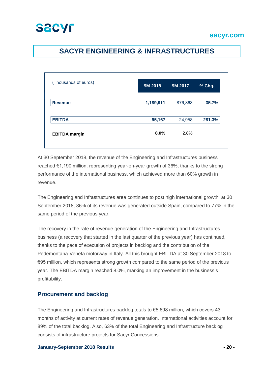## **SACYR ENGINEERING & INFRASTRUCTURES**

| (Thousands of euros) | 9M 2018   | 9M 2017 | % Chg. |
|----------------------|-----------|---------|--------|
| <b>Revenue</b>       | 1,189,911 | 876,863 | 35.7%  |
| <b>EBITDA</b>        | 95,167    | 24,958  | 281.3% |
| <b>EBITDA</b> margin | 8.0%      | 2.8%    |        |

At 30 September 2018, the revenue of the Engineering and Infrastructures business reached €1,190 million, representing year-on-year growth of 36%, thanks to the strong performance of the international business, which achieved more than 60% growth in revenue.

The Engineering and Infrastructures area continues to post high international growth: at 30 September 2018, 86% of its revenue was generated outside Spain, compared to 77% in the same period of the previous year.

The recovery in the rate of revenue generation of the Engineering and Infrastructures business (a recovery that started in the last quarter of the previous year) has continued, thanks to the pace of execution of projects in backlog and the contribution of the Pedemontana-Veneta motorway in Italy. All this brought EBITDA at 30 September 2018 to €95 million, which represents strong growth compared to the same period of the previous year. The EBITDA margin reached 8.0%, marking an improvement in the business's profitability.

#### **Procurement and backlog**

The Engineering and Infrastructures backlog totals to €5,698 million, which covers 43 months of activity at current rates of revenue generation. International activities account for 89% of the total backlog. Also, 63% of the total Engineering and Infrastructure backlog consists of infrastructure projects for Sacyr Concessions.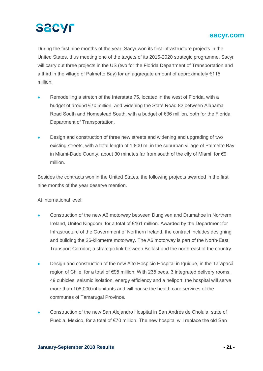### **sacyr.com**

During the first nine months of the year, Sacyr won its first infrastructure projects in the United States, thus meeting one of the targets of its 2015-2020 strategic programme. Sacyr will carry out three projects in the US (two for the Florida Department of Transportation and a third in the village of Palmetto Bay) for an aggregate amount of approximately €115 million.

- Remodelling a stretch of the Interstate 75, located in the west of Florida, with a budget of around €70 million, and widening the State Road 82 between Alabama Road South and Homestead South, with a budget of €36 million, both for the Florida Department of Transportation.
- Design and construction of three new streets and widening and upgrading of two existing streets, with a total length of 1,800 m, in the suburban village of Palmetto Bay in Miami-Dade County, about 30 minutes far from south of the city of Miami, for €9 million.

Besides the contracts won in the United States, the following projects awarded in the first nine months of the year deserve mention.

At international level:

- Construction of the new A6 motorway between Dungiven and Drumahoe in Northern Ireland, United Kingdom, for a total of €161 million. Awarded by the Department for Infrastructure of the Government of Northern Ireland, the contract includes designing and building the 26-kilometre motorway. The A6 motorway is part of the North-East Transport Corridor, a strategic link between Belfast and the north-east of the country.
- Design and construction of the new Alto Hospicio Hospital in Iquique, in the Tarapacá region of Chile, for a total of €95 million. With 235 beds, 3 integrated delivery rooms, 49 cubicles, seismic isolation, energy efficiency and a heliport, the hospital will serve more than 108,000 inhabitants and will house the health care services of the communes of Tamarugal Province.
- Construction of the new San Alejandro Hospital in San Andrés de Cholula, state of Puebla, Mexico, for a total of €70 million. The new hospital will replace the old San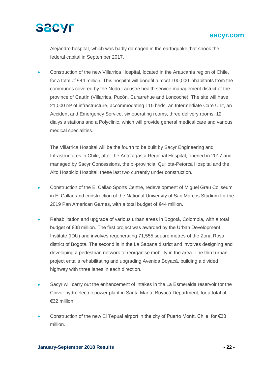

Alejandro hospital, which was badly damaged in the earthquake that shook the federal capital in September 2017.

• Construction of the new Villarrica Hospital, located in the Araucanía region of Chile, for a total of €44 million. This hospital will benefit almost 100,000 inhabitants from the communes covered by the Nodo Lacustre health service management district of the province of Cautín (Villarrica, Pucón, Curarrehue and Loncoche). The site will have 21,000 m² of infrastructure, accommodating 115 beds, an Intermediate Care Unit, an Accident and Emergency Service, six operating rooms, three delivery rooms, 12 dialysis stations and a Polyclinic, which will provide general medical care and various medical specialities.

The Villarrica Hospital will be the fourth to be built by Sacyr Engineering and Infrastructures in Chile, after the Antofagasta Regional Hospital, opened in 2017 and managed by Sacyr Concessions, the bi-provincial Quillota-Petorca Hospital and the Alto Hospicio Hospital, these last two currently under construction.

- Construction of the El Callao Sports Centre, redevelopment of Miguel Grau Coliseum in El Callao and construction of the National University of San Marcos Stadium for the 2019 Pan American Games, with a total budget of €44 million.
- Rehabilitation and upgrade of various urban areas in Bogotá, Colombia, with a total budget of €38 million. The first project was awarded by the Urban Development Institute (IDU) and involves regenerating 71,555 square metres of the Zona Rosa district of Bogotá. The second is in the La Sabana district and involves designing and developing a pedestrian network to reorganise mobility in the area. The third urban project entails rehabilitating and upgrading Avenida Boyacá, building a divided highway with three lanes in each direction.
- Sacyr will carry out the enhancement of intakes in the La Esmeralda reservoir for the Chivor hydroelectric power plant in Santa María, Boyacá Department, for a total of €32 million.
- Construction of the new El Tepual airport in the city of Puerto Montt, Chile, for  $\epsilon$ 33 million.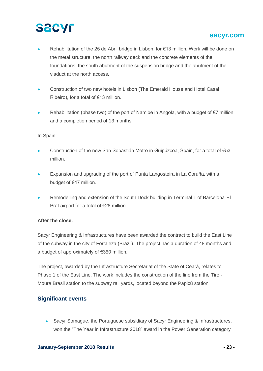### **sacyr.com**

- Rehabilitation of the 25 de Abril bridge in Lisbon, for €13 million. Work will be done on the metal structure, the north railway deck and the concrete elements of the foundations, the south abutment of the suspension bridge and the abutment of the viaduct at the north access.
- Construction of two new hotels in Lisbon (The Emerald House and Hotel Casal Ribeiro), for a total of  $€13$  million.
- Rehabilitation (phase two) of the port of Namibe in Angola, with a budget of  $\epsilon$ 7 million and a completion period of 13 months.

#### In Spain:

- Construction of the new San Sebastián Metro in Guipúzcoa, Spain, for a total of €53 million.
- Expansion and upgrading of the port of Punta Langosteira in La Coruña, with a budget of €47 million.
- Remodelling and extension of the South Dock building in Terminal 1 of Barcelona-El Prat airport for a total of €28 million.

#### **After the close:**

Sacyr Engineering & Infrastructures have been awarded the contract to build the East Line of the subway in the city of Fortaleza (Brazil). The project has a duration of 48 months and a budget of approximately of €350 million.

The project, awarded by the Infrastructure Secretariat of the State of Ceará, relates to Phase 1 of the East Line. The work includes the construction of the line from the Tirol-Moura Brasil station to the subway rail yards, located beyond the Papicú station

#### **Significant events**

• Sacyr Somague, the Portuguese subsidiary of Sacyr Engineering & Infrastructures, won the "The Year in Infrastructure 2018" award in the Power Generation category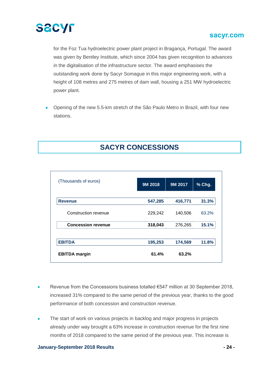

for the Foz Tua hydroelectric power plant project in Bragança, Portugal. The award was given by Bentley Institute, which since 2004 has given recognition to advances in the digitalisation of the infrastructure sector. The award emphasises the outstanding work done by Sacyr Somague in this major engineering work, with a height of 108 metres and 275 metres of dam wall, housing a 251 MW hydroelectric power plant.

• Opening of the new 5.5-km stretch of the São Paulo Metro in Brazil, with four new stations.

## **SACYR CONCESSIONS**

| (Thousands of euros)      | 9M 2018 | 9M 2017 | % Chg. |
|---------------------------|---------|---------|--------|
| <b>Revenue</b>            | 547,285 | 416,771 | 31.3%  |
| Construction revenue      | 229,242 | 140,506 | 63.2%  |
| <b>Concession revenue</b> | 318,043 | 276,265 | 15.1%  |
| <b>EBITDA</b>             | 195,253 | 174,569 | 11.8%  |
| <b>EBITDA</b> margin      | 61.4%   | 63.2%   |        |

- Revenue from the Concessions business totalled €547 million at 30 September 2018, increased 31% compared to the same period of the previous year, thanks to the good performance of both concession and construction revenue.
- The start of work on various projects in backlog and major progress in projects already under way brought a 63% increase in construction revenue for the first nine months of 2018 compared to the same period of the previous year. This increase is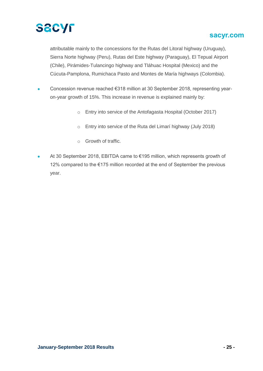

attributable mainly to the concessions for the Rutas del Litoral highway (Uruguay), Sierra Norte highway (Peru), Rutas del Este highway (Paraguay), El Tepual Airport (Chile), Pirámides-Tulancingo highway and Tláhuac Hospital (Mexico) and the Cúcuta-Pamplona, Rumichaca Pasto and Montes de María highways (Colombia).

- Concession revenue reached €318 million at 30 September 2018, representing yearon-year growth of 15%. This increase in revenue is explained mainly by:
	- o Entry into service of the Antofagasta Hospital (October 2017)
	- o Entry into service of the Ruta del Limarí highway (July 2018)
	- o Growth of traffic.
- At 30 September 2018, EBITDA came to €195 million, which represents growth of 12% compared to the €175 million recorded at the end of September the previous year.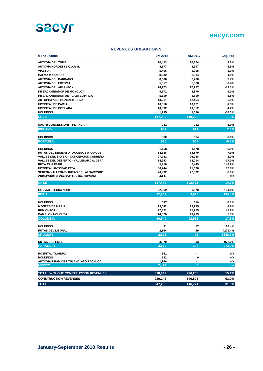

#### **REVENUES BREAKDOWN**

| $\epsilon$ Thousands                          | 9M 2018        | 9M 2017  | Chg. (%)           |
|-----------------------------------------------|----------------|----------|--------------------|
| <b>AUTOVÍA DEL TURIA</b>                      | 10,423         | 10,154   | 2.6%               |
| AUTOVÍA NOROESTE C.A.R.M.                     | 4,877          | 5,347    | $-8.8%$            |
| <b>VIASTUR</b>                                | 5,466          | 5,395    | 1.3%               |
| <b>PALMA MANACOR</b>                          | 8,932          | 8,514    | 4.9%               |
| <b>AUTOVÍA DEL BARBANZA</b>                   | 8,066          | 7,780    | 3.7%               |
| <b>AUTOVÍA DEL ERESMA</b>                     | 5,357          | 5,378    | $-0.4%$            |
| AUTOVÍA DEL ARLANZÓN                          | 24,273         | 27,927   | $-13.1%$           |
| <b>INTERCAMBIADOR DE MONCLOA</b>              | 9,671          | 8,870    | 9.0%               |
| <b>INTERCAMBIADOR DE PLAZA ELÍPTICA</b>       | 5,110          | 4,800    | 6.5%               |
| <b>AUTOPISTA DE GUADALMEDINA</b>              | 13,211         | 12,454   | 6.1%               |
| <b>HOSPITAL DE PARLA</b>                      | 10,016         | 10,171   | $-1.5%$            |
| HOSPITAL DE COSLADA                           | 10,392         | 10,852   | $-4.2%$            |
| <b>HOLDINGS</b>                               | 1,295          | 1,586    | $-18.3%$           |
| <b>SPAIN</b>                                  | 117,089        | 119,229  | $-1.8%$            |
|                                               |                |          |                    |
| <b>SACYR CONCESSIONS - IRLANDA</b>            | 931            | 912      | 2.0%               |
| <b>IRELAND</b>                                | 931            | 912      | 2.0%               |
| <b>HOLDINGS</b>                               | 660            | 664      | -0.6%              |
| <b>PORTUGAL</b>                               | 660            | 664      | $-0.6%$            |
| <b>HOLDINGS</b>                               | 1,168          | 1,178    | $-0.9%$            |
| <b>RUTAS DEL DESIERTO - ACCESOS A IQUIQUE</b> | 14,348         | 15,579   | $-7.9%$            |
| VALLES DEL BIO BIO - CONCEPCIÓN CABRERO       | 27,282         | 26,758   | 2.0%               |
| VALLES DEL DESIERTO - VALLENAR CALDERA        | 14,953         | 18,014   | $-17.0%$           |
| <b>RUTA 43 - LIMARI</b>                       | 5,956          | 2,449    | 143.2%             |
| <b>HOSPITAL ANTOFAGASTA</b>                   | 30,244         | 15,690   | 92.8%              |
| SERENA VALLENAR - RUTAS DEL ALGARROBO         | 20,992         | 22,802   | $-7.9%$            |
| AEROPUERTO DEL SUR S.A. (EL TEPUAL)           | 2,547          |          | n/a                |
| <b>CHILE</b>                                  | 117,489        | 102,471  | 14.7%              |
| <b>CONVIAL SIERRA NORTE</b>                   | 22,669         | 9,670    | 134.4%             |
| <b>PERU</b>                                   | 22,669         | 9,670    | 134.4%             |
| <b>HOLDINGS</b>                               | 587            | 619      | $-5.1%$            |
| <b>MONTES DE MARÍA</b>                        | 13,042         | 13,295   | $-1.9%$            |
| <b>RUMICHACA</b>                              | 22,391         | 15,215   | 47.2%              |
| PAMPLONA-CÚCUTA                               | 14,520         | 13,783   | 5.3%               |
| <b>COLOMBIA</b>                               | 50,540         | 42,911   | 17.8%              |
|                                               |                |          |                    |
| <b>HOLDINGS</b>                               | 31             | 17       | 86.4%              |
| <b>RUTAS DEL LITORAL</b><br><b>URUGUAY</b>    | 2,564<br>2,595 | 59<br>75 | 4279.4%<br>3348.0% |
|                                               |                |          |                    |
| <b>RUTAS DEL ESTE</b>                         | 3,570          | 333      | 972.9%             |
| <b>PARAGUAY</b>                               | 3,570          | 333      | 972.9%             |
| HOSPITAL TLAHUAC                              | 351            |          | n/a                |
| <b>HOLDINGS</b>                               | 182            | 0        | n/a                |
| AUTOVIA PIRÁMIDES TULANCINGO PACHUCA          | 1,966          |          | n/a                |
| <b>MEXICO</b>                                 | 2,499          | $\bf{0}$ | n/a                |
| TOTAL WITHOUT CONSTRUCTION REVENUES           | 318,043        | 276,265  | 15.1%              |
| <b>CONSTRUCTION REVENUES</b>                  | 229,242        | 140,506  | 63.2%              |
| <b>TOTAL</b>                                  | 547,285        | 416,771  | 31.3%              |
|                                               |                |          |                    |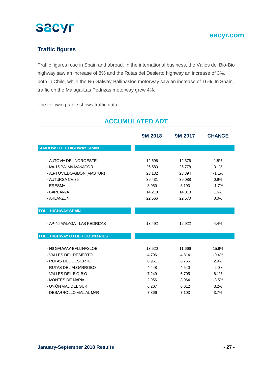

### **Traffic figures**

Traffic figures rose in Spain and abroad. In the international business, the Valles del Bio-Bio highway saw an increase of 8% and the Rutas del Desierto highway an increase of 3%, both in Chile, while the N6 Galway-Ballinasloe motorway saw an increase of 16%. In Spain, traffic on the Malaga-Las Pedrizas motorway grew 4%.

The following table shows traffic data:

|                                     | 9M 2018 | 9M 2017 | <b>CHANGE</b> |
|-------------------------------------|---------|---------|---------------|
| <b>SHADOW TOLL HIGHWAY SPAIN</b>    |         |         |               |
| - AUTOVIA DEL NOROESTE              | 12,596  | 12,376  | 1.8%          |
| - Ma-15 PALMA-MANACOR               | 26,583  | 25,778  | 3.1%          |
| - AS-II OVIEDO-GIJÓN (VIASTUR)      | 23,132  | 23,394  | $-1.1%$       |
| - AUTURSA CV-35                     | 39,431  | 39,088  | 0.9%          |
| - ERESMA                            | 8,050   | 8,193   | $-1.7%$       |
| - BARBANZA                          | 14,218  | 14,010  | 1.5%          |
| - ARLANZON                          | 22,566  | 22,570  | 0.0%          |
|                                     |         |         |               |
| <b>TOLL HIGHWAY SPAIN</b>           |         |         |               |
| - AP-46 MÁLAGA - LAS PEDRIZAS       | 13,492  | 12,922  | 4.4%          |
| <b>TOLL HIGHWAY OTHER COUNTRIES</b> |         |         |               |
|                                     |         |         |               |
| - N6 GALWAY-BALLINASLOE             | 13,520  | 11,666  | 15.9%         |
| - VALLES DEL DESIERTO               | 4,796   | 4,814   | $-0.4%$       |
| - RUTAS DEL DESIERTO                | 6,961   | 6,766   | 2.9%          |
| - RUTAS DEL ALGARROBO               | 4,448   | 4,540   | $-2.0%$       |
| - VALLES DEL BIO-BIO                | 7,249   | 6,705   | 8.1%          |
| - MONTES DE MARÍA                   | 2,956   | 3,064   | $-3.5%$       |
| - UNIÓN VIAL DEL SUR                | 6,207   | 6,012   | 3.2%          |
| - DESARROLLO VIAL AL MAR            | 7,366   | 7,103   | 3.7%          |

## **ACCUMULATED ADT**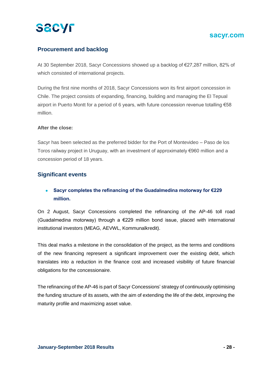### **sacyr.com**

#### **Procurement and backlog**

At 30 September 2018, Sacyr Concessions showed up a backlog of €27,287 million, 82% of which consisted of international projects.

During the first nine months of 2018, Sacyr Concessions won its first airport concession in Chile. The project consists of expanding, financing, building and managing the El Tepual airport in Puerto Montt for a period of 6 years, with future concession revenue totalling €58 million.

#### **After the close:**

Sacyr has been selected as the preferred bidder for the Port of Montevideo – Paso de los Toros railway project in Uruguay, with an investment of approximately €960 million and a concession period of 18 years.

#### **Significant events**

#### • **Sacyr completes the refinancing of the Guadalmedina motorway for €229 million.**

On 2 August, Sacyr Concessions completed the refinancing of the AP-46 toll road (Guadalmedina motorway) through a  $E229$  million bond issue, placed with international institutional investors (MEAG, AEVWL, Kommunalkredit).

This deal marks a milestone in the consolidation of the project, as the terms and conditions of the new financing represent a significant improvement over the existing debt, which translates into a reduction in the finance cost and increased visibility of future financial obligations for the concessionaire.

The refinancing of the AP-46 is part of Sacyr Concessions' strategy of continuously optimising the funding structure of its assets, with the aim of extending the life of the debt, improving the maturity profile and maximizing asset value.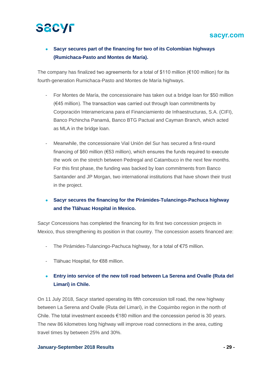#### **sacyr.com**

### • **Sacyr secures part of the financing for two of its Colombian highways (Rumichaca-Pasto and Montes de María).**

The company has finalized two agreements for a total of \$110 million (€100 million) for its fourth-generation Rumichaca-Pasto and Montes de María highways.

- For Montes de María, the concessionaire has taken out a bridge loan for \$50 million (€45 million). The transaction was carried out through loan commitments by Corporación Interamericana para el Financiamiento de Infraestructuras, S.A. (CIFI), Banco Pichincha Panamá, Banco BTG Pactual and Cayman Branch, which acted as MLA in the bridge loan.
- Meanwhile, the concessionaire Vial Unión del Sur has secured a first-round financing of \$60 million (€53 million), which ensures the funds required to execute the work on the stretch between Pedregal and Catambuco in the next few months. For this first phase, the funding was backed by loan commitments from Banco Santander and JP Morgan, two international institutions that have shown their trust in the project.

#### • **Sacyr secures the financing for the Pirámides-Tulancingo-Pachuca highway and the Tláhuac Hospital in Mexico.**

Sacyr Concessions has completed the financing for its first two concession projects in Mexico, thus strengthening its position in that country. The concession assets financed are:

- The Pirámides-Tulancingo-Pachuca highway, for a total of €75 million.
- Tláhuac Hospital, for €88 million.

#### • **Entry into service of the new toll road between La Serena and Ovalle (Ruta del Limarí) in Chile.**

On 11 July 2018, Sacyr started operating its fifth concession toll road, the new highway between La Serena and Ovalle (Ruta del Limarí), in the Coquimbo region in the north of Chile. The total investment exceeds €180 million and the concession period is 30 years. The new 86 kilometres long highway will improve road connections in the area, cutting travel times by between 25% and 30%.

#### **January-September 2018 Results - 29 -**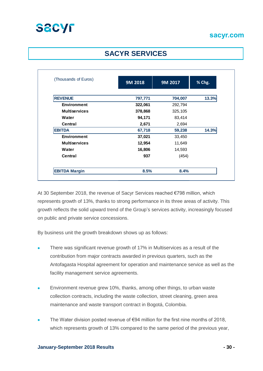

## **SACYR SERVICES**

| (Thousands of Euros) | 9M 2018 | 9M 2017 | % Chg. |
|----------------------|---------|---------|--------|
|                      |         |         |        |
| <b>REVENUE</b>       | 797,771 | 704,007 | 13.3%  |
| <b>Environment</b>   | 322,061 | 292,794 |        |
| <b>Multiservices</b> | 378,868 | 325,105 |        |
| Water                | 94,171  | 83,414  |        |
| Central              | 2,671   | 2,694   |        |
| <b>EBITDA</b>        | 67,718  | 59,238  | 14.3%  |
| <b>Environment</b>   | 37,021  | 33,450  |        |
| <b>Multiservices</b> | 12,954  | 11,649  |        |
| Water                | 16,806  | 14,593  |        |
| Central              | 937     | (454)   |        |
| <b>EBITDA Margin</b> | 8.5%    | 8.4%    |        |

At 30 September 2018, the revenue of Sacyr Services reached €798 million, which represents growth of 13%, thanks to strong performance in its three areas of activity. This growth reflects the solid upward trend of the Group's services activity, increasingly focused on public and private service concessions.

By business unit the growth breakdown shows up as follows:

- There was significant revenue growth of 17% in Multiservices as a result of the contribution from major contracts awarded in previous quarters, such as the Antofagasta Hospital agreement for operation and maintenance service as well as the facility management service agreements.
- Environment revenue grew 10%, thanks, among other things, to urban waste collection contracts, including the waste collection, street cleaning, green area maintenance and waste transport contract in Bogotá, Colombia.
- The Water division posted revenue of  $€94$  million for the first nine months of 2018, which represents growth of 13% compared to the same period of the previous year,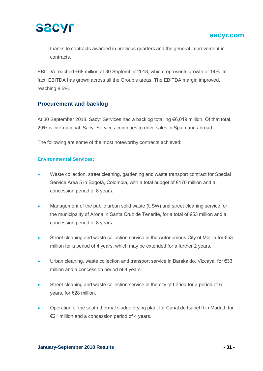

thanks to contracts awarded in previous quarters and the general improvement in contracts.

EBITDA reached €68 million at 30 September 2018, which represents growth of 14%. In fact, EBITDA has grown across all the Group's areas. The EBITDA margin improved, reaching 8.5%.

#### **Procurement and backlog**

At 30 September 2018, Sacyr Services had a backlog totalling €6,019 million. Of that total, 29% is international. Sacyr Services continues to drive sales in Spain and abroad.

The following are some of the most noteworthy contracts achieved:

#### **Environmental Services:**

- Waste collection, street cleaning, gardening and waste transport contract for Special Service Area 5 in Bogotá, Colombia, with a total budget of €170 million and a concession period of 8 years.
- Management of the public urban solid waste (USW) and street cleaning service for the municipality of Arona in Santa Cruz de Tenerife, for a total of €53 million and a concession period of 8 years.
- Street cleaning and waste collection service in the Autonomous City of Melilla for €53 million for a period of 4 years, which may be extended for a further 2 years.
- Urban cleaning, waste collection and transport service in Barakaldo, Vizcaya, for €33 million and a concession period of 4 years.
- Street cleaning and waste collection service in the city of Lérida for a period of 6 years, for €28 million.
- Operation of the south thermal sludge drying plant for Canal de Isabel II in Madrid, for €21 million and a concession period of 4 years.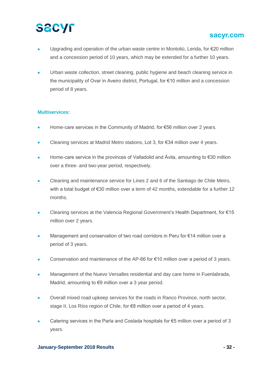### **sacyr.com**

- Upgrading and operation of the urban waste centre in Montoliú, Lerida, for €20 million and a concession period of 10 years, which may be extended for a further 10 years.
- Urban waste collection, street cleaning, public hygiene and beach cleaning service in the municipality of Ovar in Aveiro district, Portugal, for €10 million and a concession period of 8 years.

#### **Multiservices:**

- Home-care services in the Community of Madrid, for €56 million over 2 years.
- Cleaning services at Madrid Metro stations, Lot 3, for €34 million over 4 years.
- Home-care service in the provinces of Valladolid and Ávila, amounting to €30 million over a three- and two-year period, respectively.
- Cleaning and maintenance service for Lines 2 and 6 of the Santiago de Chile Metro, with a total budget of €30 million over a term of 42 months, extendable for a further 12 months.
- Cleaning services at the Valencia Regional Government's Health Department, for €15 million over 2 years.
- Management and conservation of two road corridors in Peru for €14 million over a period of 3 years.
- Conservation and maintenance of the AP-66 for  $€10$  million over a period of 3 years.
- Management of the Nuevo Versalles residential and day care home in Fuenlabrada, Madrid, amounting to €9 million over a 3 year period.
- Overall mixed road upkeep services for the roads in Ranco Province, north sector, stage II, Los Ríos region of Chile, for €8 million over a period of 4 years.
- Catering services in the Parla and Coslada hospitals for  $\epsilon$ 5 million over a period of 3 years.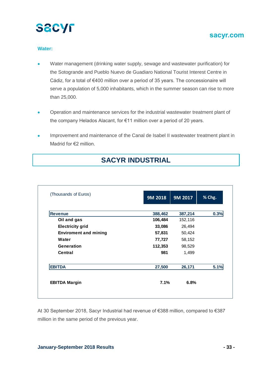

#### **Water:**

- Water management (drinking water supply, sewage and wastewater purification) for the Sotogrande and Pueblo Nuevo de Guadiaro National Tourist Interest Centre in Cádiz, for a total of €400 million over a period of 35 years. The concessionaire will serve a population of 5,000 inhabitants, which in the summer season can rise to more than 25,000.
- Operation and maintenance services for the industrial wastewater treatment plant of the company Helados Alacant, for €11 million over a period of 20 years.
- Improvement and maintenance of the Canal de Isabel II wastewater treatment plant in Madrid for €2 million.

| (Thousands of Euros)         | <b>9M 2018</b> | 9M 2017 | % Chg. |
|------------------------------|----------------|---------|--------|
| <b>Revenue</b>               | 388,462        | 387,214 | 0.3%   |
| Oil and gas                  | 106,484        | 152,116 |        |
| <b>Electricity grid</b>      | 33,086         | 26,494  |        |
| <b>Enviroment and mining</b> | 57,831         | 50,424  |        |
| Water                        | 77,727         | 58,152  |        |
| Generation                   | 112,353        | 98,529  |        |
| Central                      | 981            | 1,499   |        |
| <b>EBITDA</b>                | 27,500         | 26,171  | 5.1%   |
| <b>EBITDA Margin</b>         | 7.1%           | 6.8%    |        |

## **SACYR INDUSTRIAL**

At 30 September 2018, Sacyr Industrial had revenue of €388 million, compared to €387 million in the same period of the previous year.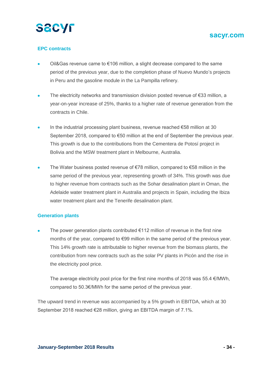

#### **EPC contracts**

- Oil&Gas revenue came to €106 million, a slight decrease compared to the same period of the previous year, due to the completion phase of Nuevo Mundo's projects in Peru and the gasoline module in the La Pampilla refinery.
- The electricity networks and transmission division posted revenue of €33 million, a year-on-year increase of 25%, thanks to a higher rate of revenue generation from the contracts in Chile.
- In the industrial processing plant business, revenue reached €58 million at 30 September 2018, compared to €50 million at the end of September the previous year. This growth is due to the contributions from the Cementera de Potosí project in Bolivia and the MSW treatment plant in Melbourne, Australia.
- The Water business posted revenue of €78 million, compared to €58 million in the same period of the previous year, representing growth of 34%. This growth was due to higher revenue from contracts such as the Sohar desalination plant in Oman, the Adelaide water treatment plant in Australia and projects in Spain, including the Ibiza water treatment plant and the Tenerife desalination plant.

#### **Generation plants**

The power generation plants contributed  $\epsilon$ 112 million of revenue in the first nine months of the year, compared to €99 million in the same period of the previous year. This 14% growth rate is attributable to higher revenue from the biomass plants, the contribution from new contracts such as the solar PV plants in Picón and the rise in the electricity pool price.

The average electricity pool price for the first nine months of 2018 was 55.4  $\epsilon$ /MWh, compared to 50.3€/MWh for the same period of the previous year.

The upward trend in revenue was accompanied by a 5% growth in EBITDA, which at 30 September 2018 reached €28 million, giving an EBITDA margin of 7.1%.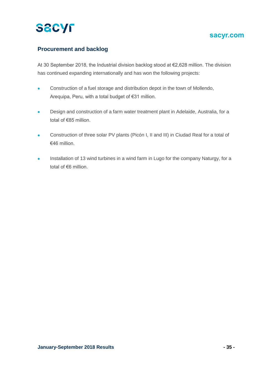# **SACYL**

### **sacyr.com**

### **Procurement and backlog**

At 30 September 2018, the Industrial division backlog stood at €2,628 million. The division has continued expanding internationally and has won the following projects:

- Construction of a fuel storage and distribution depot in the town of Mollendo, Arequipa, Peru, with a total budget of €31 million.
- Design and construction of a farm water treatment plant in Adelaide, Australia, for a total of €85 million.
- Construction of three solar PV plants (Picón I, II and III) in Ciudad Real for a total of €46 million.
- Installation of 13 wind turbines in a wind farm in Lugo for the company Naturgy, for a total of €6 million.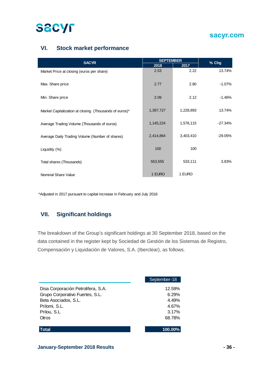

### **VI. Stock market performance**

| <b>SACYR</b>                                           | <b>SEPTEMBER</b> |           | % Chg     |  |
|--------------------------------------------------------|------------------|-----------|-----------|--|
|                                                        | 2018             | 2017      |           |  |
| Market Price at closing (euros per share)              | 2.53             | 2.22      | 13.74%    |  |
| Max. Share price                                       | 2.77             | 2.80      | $-1.07\%$ |  |
| Min. Share price                                       | 2.09             | 2.12      | $-1.46%$  |  |
| Market Capitalization at closing (Thousands of euros)* | 1,397,727        | 1,228,893 | 13.74%    |  |
| Average Trading Volume (Thousands of euros)            | 1,145,224        | 1,576,115 | $-27.34%$ |  |
| Average Daily Trading Volume (Number of shares)        | 2,414,864        | 3,403,410 | $-29.05%$ |  |
| Liquidity (%)                                          | 100              | 100       |           |  |
| Total shares (Thousands)                               | 553,555          | 533,111   | 3.83%     |  |
| Nominal Share Value                                    | 1 EURO           | 1 EURO    |           |  |

\*Adjusted in 2017 pursuant to capital increase in February and July 2018

#### **VII. Significant holdings**

The breakdown of the Group's significant holdings at 30 September 2018, based on the data contained in the register kept by Sociedad de Gestión de los Sistemas de Registro, Compensación y Liquidación de Valores, S.A. (Iberclear), as follows.

|                                    | September-18 |
|------------------------------------|--------------|
| Disa Corporación Petrolifera, S.A. | 12.59%       |
| Grupo Corporativo Fuertes, S.L.    | 6.29%        |
| Beta Asociados, S.L.               | 4.49%        |
| Prilomi, S.L.                      | 4.67%        |
| Prilou, S.L.                       | 3.17%        |
| Otros                              | 68.78%       |
|                                    |              |
| Total                              | 100.00%      |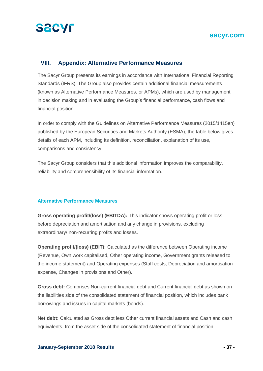

#### **VIII. Appendix: Alternative Performance Measures**

The Sacyr Group presents its earnings in accordance with International Financial Reporting Standards (IFRS). The Group also provides certain additional financial measurements (known as Alternative Performance Measures, or APMs), which are used by management in decision making and in evaluating the Group's financial performance, cash flows and financial position.

In order to comply with the Guidelines on Alternative Performance Measures (2015/1415en) published by the European Securities and Markets Authority (ESMA), the table below gives details of each APM, including its definition, reconciliation, explanation of its use, comparisons and consistency.

The Sacyr Group considers that this additional information improves the comparability, reliability and comprehensibility of its financial information.

#### **Alternative Performance Measures**

**Gross operating profit/(loss) (EBITDA):** This indicator shows operating profit or loss before depreciation and amortisation and any change in provisions, excluding extraordinary/ non-recurring profits and losses.

**Operating profit/(loss) (EBIT):** Calculated as the difference between Operating income (Revenue, Own work capitalised, Other operating income, Government grants released to the income statement) and Operating expenses (Staff costs, Depreciation and amortisation expense, Changes in provisions and Other).

**Gross debt:** Comprises Non-current financial debt and Current financial debt as shown on the liabilities side of the consolidated statement of financial position, which includes bank borrowings and issues in capital markets (bonds).

**Net debt:** Calculated as Gross debt less Other current financial assets and Cash and cash equivalents, from the asset side of the consolidated statement of financial position.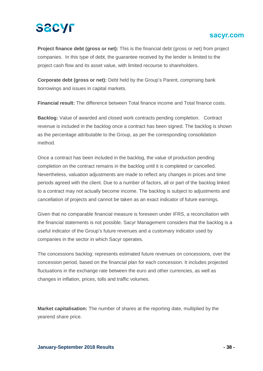### **sacyr.com**

**Project finance debt (gross or net):** This is the financial debt (gross or net) from project companies. In this type of debt, the guarantee received by the lender is limited to the project cash flow and its asset value, with limited recourse to shareholders.

**Corporate debt (gross or net):** Debt held by the Group's Parent, comprising bank borrowings and issues in capital markets.

**Financial result:** The difference between Total finance income and Total finance costs.

**Backlog:** Value of awarded and closed work contracts pending completion. Contract revenue is included in the backlog once a contract has been signed. The backlog is shown as the percentage attributable to the Group, as per the corresponding consolidation method.

Once a contract has been included in the backlog, the value of production pending completion on the contract remains in the backlog until it is completed or cancelled. Nevertheless, valuation adjustments are made to reflect any changes in prices and time periods agreed with the client. Due to a number of factors, all or part of the backlog linked to a contract may not actually become income. The backlog is subject to adjustments and cancellation of projects and cannot be taken as an exact indicator of future earnings.

Given that no comparable financial measure is foreseen under IFRS, a reconciliation with the financial statements is not possible. Sacyr Management considers that the backlog is a useful indicator of the Group's future revenues and a customary indicator used by companies in the sector in which Sacyr operates.

The concessions backlog: represents estimated future revenues on concessions, over the concession period, based on the financial plan for each concession. It includes projected fluctuations in the exchange rate between the euro and other currencies, as well as changes in inflation, prices, tolls and traffic volumes.

**Market capitalisation:** The number of shares at the reporting date, multiplied by the yearend share price.